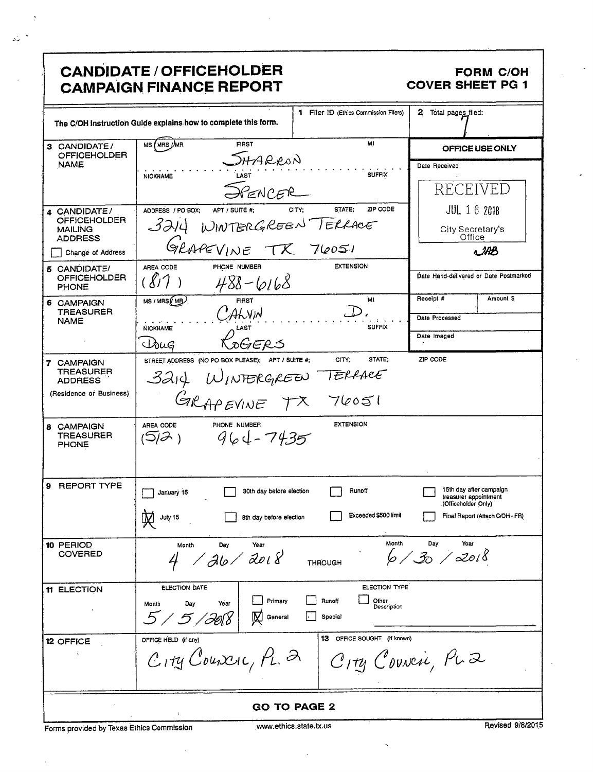| <b>CANDIDATE / OFFICEHOLDER</b><br><b>FORM C/OH</b><br><b>COVER SHEET PG 1</b><br><b>CAMPAIGN FINANCE REPORT</b> |                                                                                                       |                                                            |                                                                                                             |  |
|------------------------------------------------------------------------------------------------------------------|-------------------------------------------------------------------------------------------------------|------------------------------------------------------------|-------------------------------------------------------------------------------------------------------------|--|
|                                                                                                                  | The C/OH Instruction Guide explains how to complete this form.                                        | 1 Filer ID (Ethics Commission Filers)                      | 2<br>Total pages filed:                                                                                     |  |
| 3 CANDIDATE/<br><b>OFFICEHOLDER</b>                                                                              | MS (MRS UMR<br><b>FIRST</b>                                                                           | M1                                                         | OFFICE USE ONLY                                                                                             |  |
| <b>NAME</b>                                                                                                      | SHARRON<br><b>NICKNAME</b><br>SPENCER                                                                 | <b>SUFFIX</b>                                              | Date Received<br>RECEIVED                                                                                   |  |
| 4 CANDIDATE/<br><b>OFFICEHOLDER</b><br><b>MAILING</b><br><b>ADDRESS</b><br>Change of Address                     | ADDRESS / PO BOX;<br>APT / SUITE #;<br>WINTERGREEN TERRACE<br>3214<br>GRAPEVINE TX 76051              | STATE:<br>ZIP CODE<br>CITY:                                | <b>JUL 16 2018</b><br>City Secretary's<br>Office<br>MB                                                      |  |
| 5 CANDIDATE/<br><b>OFFICEHOLDER</b><br><b>PHONE</b>                                                              | AREA CODE<br>PHONE NUMBER<br>$488 - 6168$                                                             | <b>EXTENSION</b>                                           | Date Hand-delivered or Date Postmarked                                                                      |  |
| 6 CAMPAIGN<br><b>TREASURER</b><br><b>NAME</b>                                                                    | MS / MRS ( MB )<br><b>FIRST</b><br>ALVIN<br><b>NICKNAME</b><br>LAST                                   | 'ML<br><b>SUFFIX</b>                                       | Amount S<br>Receipt #<br>Date Processed<br>Date Imaged                                                      |  |
| 7 CAMPAIGN<br>TREASURER<br><b>ADDRESS</b><br>(Residence or Business)                                             | SOGERS<br>Isug<br>STREET ADDRESS (NO PO BOX PLEASE); APT / SUITE #;<br>14 WINTERGREEN TERRACE<br>3214 | CITY;<br>STATE:                                            | ZIP CODE                                                                                                    |  |
| 8 CAMPAIGN<br><b>TREASURER</b><br>PHONE                                                                          | PHONE NUMBER<br>AREA CODE<br>$964 - 7435$<br>(5)Ə)                                                    | <b>EXTENSION</b>                                           |                                                                                                             |  |
| 9 REPORT TYPE                                                                                                    | 30th day before election<br>January 15<br>July 15<br>8th day before election                          | Runoff<br>Exceeded \$500 limit                             | 15th day after campaign<br>treasurer appointment<br>(Officeholder Only).<br>Final Report (Attach C/OH - FR) |  |
| 10 PERIOD<br><b>COVERED</b>                                                                                      | Day<br>Year<br>Month<br>$\sqrt{36}/2018$                                                              | Month<br><b>THROUGH</b>                                    | Day<br>Year<br>6/30/2018                                                                                    |  |
| 11 ELECTION                                                                                                      | <b>ELECTION DATE</b><br>Primary<br>Year<br>Day<br>Month<br>5 / 5 / 36\8<br>General                    | ELECTION TYPE<br>Other<br>Runoff<br>Description<br>Special |                                                                                                             |  |
| 12 OFFICE                                                                                                        | OFFICE HELD (if any)<br>$C_1$ ry Councic, $P_L$ 2                                                     | <b>13</b> OFFICE SOUGHT (if known)<br>City Council, PLZ    |                                                                                                             |  |
| <b>GO TO PAGE 2</b><br>$\downarrow$                                                                              |                                                                                                       |                                                            |                                                                                                             |  |

Forms provided by Texas Ethics Commission

 $\bar{\phantom{a}}$ 

 $\cdot$ 

 $\mathbb{R}$ 

 $\mathcal{L}^{(1)}$ 

 $\bar{\phantom{a}}$ 

 $\bar{\mathcal{A}}$ 

k,

Revised 9/8/2015

 $\ddot{\phantom{0}}$ 

 $\epsilon$ 

 $\epsilon$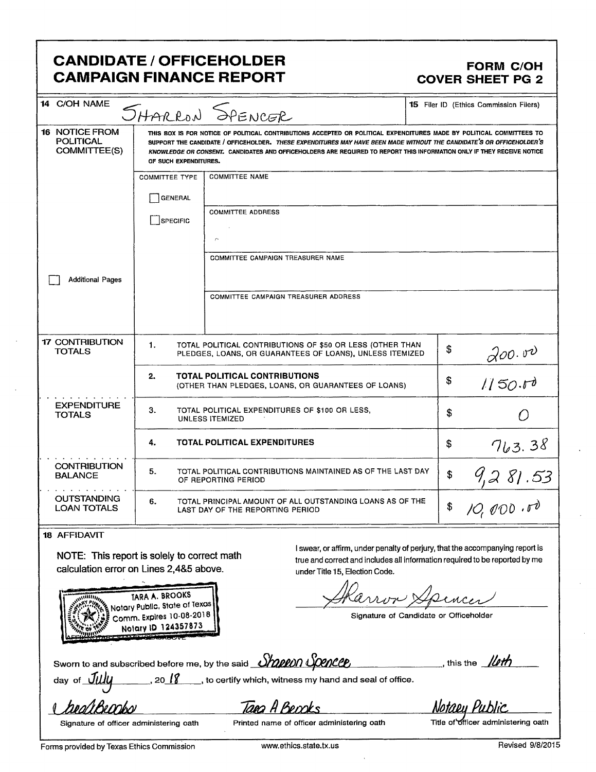## **CANDIDATE / OFFICEHOLDER CAMPAIGN FINANCE REPORT**

#### **FORM C/OH COVER SHEET PG 2**

| 14 C/OH NAME<br><b>15</b> Filer ID (Ethics Commission Filers)<br>SHARRON SPENCER                                           |                                                                                                                                                                                                                                                                                                                                                                                                  |                                                                               |    |                           |  |
|----------------------------------------------------------------------------------------------------------------------------|--------------------------------------------------------------------------------------------------------------------------------------------------------------------------------------------------------------------------------------------------------------------------------------------------------------------------------------------------------------------------------------------------|-------------------------------------------------------------------------------|----|---------------------------|--|
| <b>16 NOTICE FROM</b><br><b>POLITICAL</b><br>COMMITTEE(S)                                                                  | THIS BOX IS FOR NOTICE OF POLITICAL CONTRIBUTIONS ACCEPTED OR POLITICAL EXPENDITURES MADE BY POLITICAL COMMITTEES TO<br>SUPPORT THE CANDIDATE / OFFICEHOLDER. THESE EXPENDITURES MAY HAVE BEEN MADE WITHOUT THE CANDIDATE'S OR OFFICEHOLDER'S<br>KNOWLEDGE OR CONSENT. CANDIDATES AND OFFICEHOLDERS ARE REQUIRED TO REPORT THIS INFORMATION ONLY IF THEY RECEIVE NOTICE<br>OF SUCH EXPENDITURES. |                                                                               |    |                           |  |
|                                                                                                                            | <b>COMMITTEE NAME</b><br><b>COMMITTEE TYPE</b>                                                                                                                                                                                                                                                                                                                                                   |                                                                               |    |                           |  |
|                                                                                                                            | <b>GENERAL</b>                                                                                                                                                                                                                                                                                                                                                                                   |                                                                               |    |                           |  |
|                                                                                                                            | SPECIFIC                                                                                                                                                                                                                                                                                                                                                                                         | <b>COMMITTEE ADDRESS</b><br>ŗ.                                                |    |                           |  |
|                                                                                                                            |                                                                                                                                                                                                                                                                                                                                                                                                  | COMMITTEE CAMPAIGN TREASURER NAME                                             |    |                           |  |
| <b>Additional Pages</b>                                                                                                    |                                                                                                                                                                                                                                                                                                                                                                                                  |                                                                               |    |                           |  |
|                                                                                                                            |                                                                                                                                                                                                                                                                                                                                                                                                  | <b>COMMITTEE CAMPAIGN TREASURER ADDRESS</b>                                   |    |                           |  |
| <b>17 CONTRIBUTION</b><br><b>TOTALS</b>                                                                                    | 1.<br>TOTAL POLITICAL CONTRIBUTIONS OF \$50 OR LESS (OTHER THAN<br>\$<br>PLEDGES, LOANS, OR GUARANTEES OF LOANS), UNLESS ITEMIZED                                                                                                                                                                                                                                                                |                                                                               |    | $200.00$<br>1150.00       |  |
|                                                                                                                            | <b>TOTAL POLITICAL CONTRIBUTIONS</b><br>2.<br>\$<br>(OTHER THAN PLEDGES, LOANS, OR GUARANTEES OF LOANS)                                                                                                                                                                                                                                                                                          |                                                                               |    |                           |  |
| <b>EXPENDITURE</b><br><b>TOTALS</b>                                                                                        | 3.                                                                                                                                                                                                                                                                                                                                                                                               | TOTAL POLITICAL EXPENDITURES OF \$100 OR LESS,<br><b>UNLESS ITEMIZED</b>      | \$ | $\bigcirc$                |  |
|                                                                                                                            | 4.<br><b>TOTAL POLITICAL EXPENDITURES</b>                                                                                                                                                                                                                                                                                                                                                        |                                                                               | \$ |                           |  |
| <b>CONTRIBUTION</b><br><b>BALANCE</b>                                                                                      | 5.<br>TOTAL POLITICAL CONTRIBUTIONS MAINTAINED AS OF THE LAST DAY<br>OF REPORTING PERIOD                                                                                                                                                                                                                                                                                                         |                                                                               | \$ |                           |  |
| <b>OUTSTANDING</b><br><b>LOAN TOTALS</b>                                                                                   | TOTAL PRINCIPAL AMOUNT OF ALL OUTSTANDING LOANS AS OF THE<br>6.<br>\$<br>LAST DAY OF THE REPORTING PERIOD                                                                                                                                                                                                                                                                                        |                                                                               |    | $\frac{763.38}{9,281.53}$ |  |
| <b>18 AFFIDAVIT</b>                                                                                                        |                                                                                                                                                                                                                                                                                                                                                                                                  |                                                                               |    |                           |  |
|                                                                                                                            |                                                                                                                                                                                                                                                                                                                                                                                                  | I swear, or affirm, under penalty of perjury, that the accompanying report is |    |                           |  |
| NOTE: This report is solely to correct math<br>erue and correct and includes all information required to be reported by me |                                                                                                                                                                                                                                                                                                                                                                                                  |                                                                               |    |                           |  |

calculation error on Lines 2,4&5 above.

TARA A. BROOKS

under Title 15, Election Code.

Signature of Candidate or Officeholder

Notary Public, State of Texas Comm. Expires 10-08-2018 Notary ID 124357873 Sworn to and subscribed before me, by the said **Shappon Spencep** this the  $\mathcal{U}$  $20^{18}$ to certify which, witness my hand and seal of office. day of

raako

Tapa A Becoks

Notaey Public

Signature of officer administering oath

Printed name of officer administering oath

Title of officer administering oath

Forms provided by Texas Ethics Commission

Revised 9/8/2015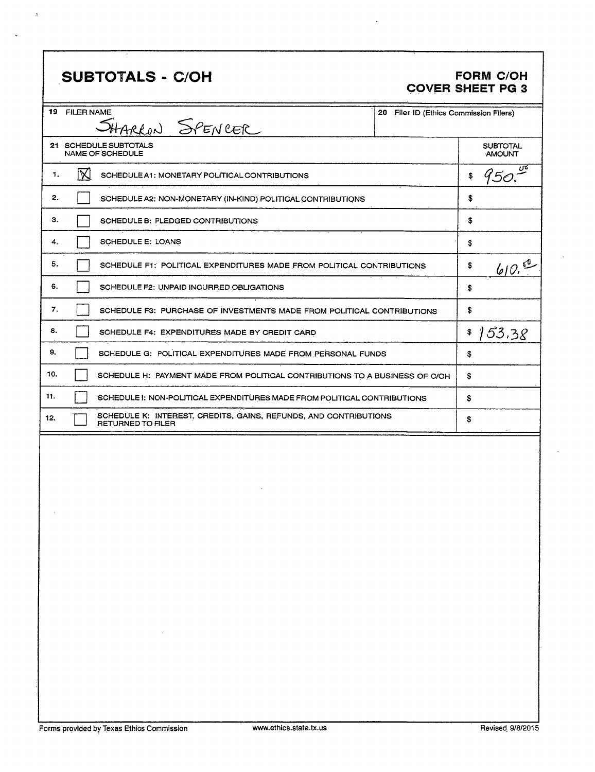# SUBTOTALS - C/OH

 $\mathbf{A}$ 

#### **FORM C/OH COVER SHEET PG 3**

|     | 19 FILER NAME                                                               | SHARRON SPENCER                                                                       | 20<br>Filer ID (Ethics Commission Filers) |                                  |
|-----|-----------------------------------------------------------------------------|---------------------------------------------------------------------------------------|-------------------------------------------|----------------------------------|
|     |                                                                             | 21 SCHEDULE SUBTOTALS<br><b>NAME OF SCHEDULE</b>                                      |                                           | <b>SUBTOTAL</b><br><b>AMOUNT</b> |
| 1.  | M<br>SCHEDULE A1: MONETARY POLITICAL CONTRIBUTIONS                          |                                                                                       |                                           | Ч50. —<br>\$                     |
| 2.  |                                                                             | SCHEDULE A2: NON-MONETARY (IN-KIND) POLITICAL CONTRIBUTIONS                           |                                           | \$                               |
| з.  |                                                                             | SCHEDULE B: PLEDGED CONTRIBUTIONS                                                     |                                           | \$                               |
| 4.  |                                                                             | SCHEDULE E: LOANS                                                                     |                                           | \$                               |
| 5.  |                                                                             | SCHEDULE F1: POLITICAL EXPENDITURES MADE FROM POLITICAL CONTRIBUTIONS                 |                                           | 60.00<br>\$                      |
| 6.  |                                                                             | SCHEDULE F2: UNPAID INCURRED OBLIGATIONS                                              |                                           | \$                               |
| 7.  |                                                                             | SCHEDULE F3: PURCHASE OF INVESTMENTS MADE FROM POLITICAL CONTRIBUTIONS                |                                           | \$                               |
| 8.  |                                                                             | SCHEDULE F4: EXPENDITURES MADE BY CREDIT CARD                                         |                                           | 153.38<br>\$                     |
| 9.  | SCHEDULE G: POLITICAL EXPENDITURES MADE FROM PERSONAL FUNDS                 |                                                                                       |                                           | \$                               |
| 10. | SCHEDULE H: PAYMENT MADE FROM POLITICAL CONTRIBUTIONS TO A BUSINESS OF C/OH |                                                                                       |                                           | \$.                              |
| 11. | SCHEDULE I: NON-POLITICAL EXPENDITURES MADE FROM POLITICAL CONTRIBUTIONS    |                                                                                       |                                           | \$                               |
| 12. |                                                                             | SCHEDULE K: INTEREST, CREDITS, GAINS, REFUNDS, AND CONTRIBUTIONS<br>RETURNED TO FILER |                                           | \$                               |
|     |                                                                             |                                                                                       |                                           |                                  |
|     |                                                                             |                                                                                       |                                           |                                  |
|     |                                                                             |                                                                                       |                                           |                                  |
|     |                                                                             |                                                                                       |                                           |                                  |
|     |                                                                             |                                                                                       |                                           |                                  |
|     |                                                                             |                                                                                       |                                           |                                  |
|     |                                                                             |                                                                                       |                                           |                                  |
|     |                                                                             |                                                                                       |                                           |                                  |
|     |                                                                             |                                                                                       |                                           |                                  |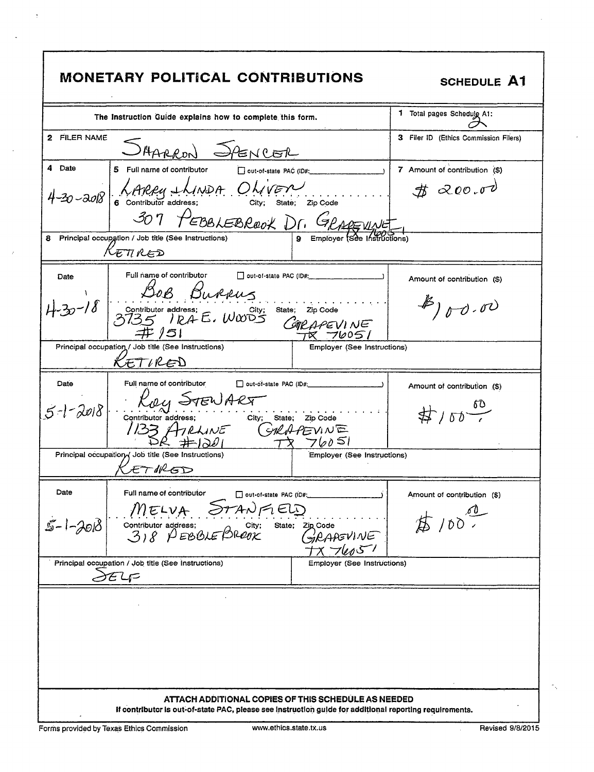| <b>MONETARY POLITICAL CONTRIBUTIONS</b>                                                                                                                                                                                                                                                                    | <b>SCHEDULE A1</b>                             |
|------------------------------------------------------------------------------------------------------------------------------------------------------------------------------------------------------------------------------------------------------------------------------------------------------------|------------------------------------------------|
| The Instruction Guide explains how to complete this form.                                                                                                                                                                                                                                                  | 1 Total pages Schedulg A1:                     |
| 2 FILER NAME<br>SAARRON SPENCER                                                                                                                                                                                                                                                                            | 3 Filer ID (Ethics Commission Filers)          |
| 4 Date<br>5 Full name of contributor<br>out-of-state PAC (ID#:<br>4-30-2018 6 Contributor address: City; state; Zip Code<br>ontributor and the BBLEBROOK Dr. GRAPEWALL<br>Principal occupation / Job title (See Instructions)<br>8.                                                                        | 7 Amount of contribution (\$)<br>\$200.00      |
| $\mathcal{K}\varepsilon\pi$ red                                                                                                                                                                                                                                                                            |                                                |
| Full name of contributor<br>Date<br>BOB Burrus<br>$30-18$<br>Contributor address;<br>3735 IRAE, WWD5 GIRAPEVINE<br><b>井 /51</b>                                                                                                                                                                            | Amount of contribution (\$)<br>$#$ ) or $0.00$ |
| Principal occupation / Job title (See Instructions)<br>Employer (See Instructions)<br>KETIRED                                                                                                                                                                                                              |                                                |
| Full name of contributor<br>Date<br>$\Box$ out-of-state PAC (ID#: $\Box$<br>Ray STEWART<br>Contributor address; City; state; Zip Code<br>133 ATRLINE GRAPEVINE<br>$5 - 1 - 2018$<br>$TX$ $760$ $51$<br>Principal occupation / Job title (See Instructions)<br><b>Employer (See Instructions)</b><br>ETHRED | Amount of contribution (\$)<br>$#100 - 60$     |
| Date<br>Full name of contributor<br>out-of-state PAC (ID#:<br><b>STANFIELD</b><br>$M$ ELVA<br>$5 - 1 - 2018$<br>Contributor address; City;<br>3) $8$ $\beta$ $EBBLE$ $BROX$<br>State; Zip Code<br>RAAEVINE                                                                                                 | Amount of contribution (\$)<br>$7100^{00}$     |
| Principal occupation / Job title (See Instructions)<br>Employer (See Instructions)<br><b>SELF</b>                                                                                                                                                                                                          |                                                |
| ATTACH ADDITIONAL COPIES OF THIS SCHEDULE AS NEEDED                                                                                                                                                                                                                                                        |                                                |
| If contributor is out-of-state PAC, please see instruction guide for additional reporting requirements.                                                                                                                                                                                                    |                                                |

 $\bar{z}$ 

 $\ddot{\phantom{1}}$ 

 $\hat{\vec{r}}$ 

 $\hat{\mathbf{r}}$ 

 $\gamma_{\chi}$ 

 $\ddot{\phantom{0}}$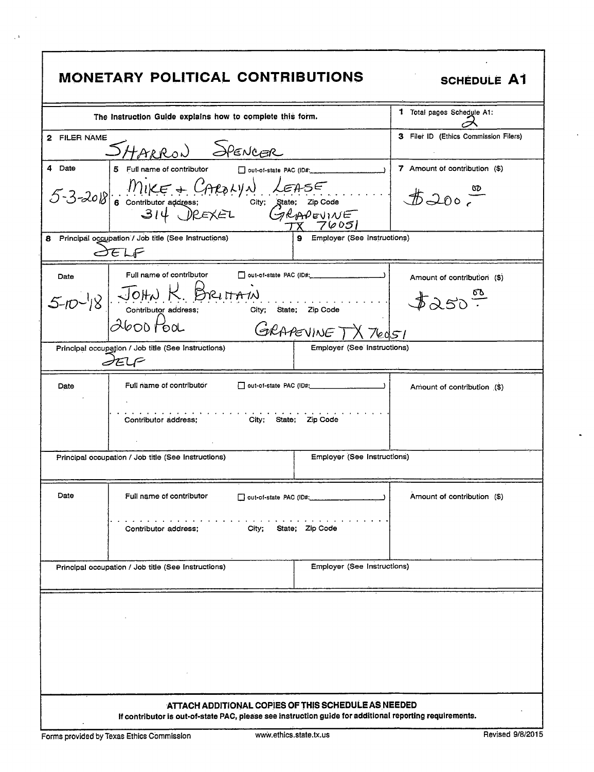| <b>MONETARY POLITICAL CONTRIBUTIONS</b><br><b>SCHEDULE A1</b>                             |                                                 |                                                                                                         |                                       |  |  |
|-------------------------------------------------------------------------------------------|-------------------------------------------------|---------------------------------------------------------------------------------------------------------|---------------------------------------|--|--|
| The Instruction Guide explains how to complete this form.                                 | 1 Total pages Schedule A1:                      |                                                                                                         |                                       |  |  |
| 2 FILER NAME<br>SHARRON SPENCER                                                           |                                                 |                                                                                                         | 3 Filer ID (Ethics Commission Filers) |  |  |
| 4 Date<br>5 Full name of contributor                                                      | out-of-state PAC (ID#:                          |                                                                                                         | 7 Amount of contribution (\$)         |  |  |
|                                                                                           | 5-3-2018 6 CONTINUE + CAROLYN LEASE<br>TX 76051 |                                                                                                         |                                       |  |  |
| Principal occupation / Job title (See Instructions)<br>8.<br>SELF                         |                                                 | Employer (See Instructions)                                                                             |                                       |  |  |
| Full name of contributor<br>Date                                                          |                                                 |                                                                                                         | Amount of contribution (\$)           |  |  |
| $5-10^{-1/8}$ JOHN K. BRITTAIN<br>contributor address; city; state; zip Code              |                                                 |                                                                                                         | $x\rightarrow \infty$                 |  |  |
| $Abo0$ Pool                                                                               |                                                 | GRAPEVINE TX 76051                                                                                      |                                       |  |  |
| Principal occupation / Job title (See Instructions)<br>SELF                               |                                                 | Employer (See Instructions)                                                                             |                                       |  |  |
| Full name of contributor<br>Date                                                          |                                                 |                                                                                                         | Amount of contribution (\$)           |  |  |
| Contributor address;<br>City; State; Zip Code                                             |                                                 |                                                                                                         |                                       |  |  |
| Principal occupation / Job title (See Instructions)                                       |                                                 | Employer (See Instructions)                                                                             |                                       |  |  |
| Date<br>Full name of contributor                                                          |                                                 | out-of-state PAC (ID#; ____________                                                                     | Amount of contribution (\$)           |  |  |
| State; Zip Code<br>Contributor address;<br>City;                                          |                                                 |                                                                                                         |                                       |  |  |
| <b>Employer (See Instructions)</b><br>Principal occupation / Job title (See Instructions) |                                                 |                                                                                                         |                                       |  |  |
|                                                                                           |                                                 | ATTACH ADDITIONAL COPIES OF THIS SCHEDULE AS NEEDED                                                     |                                       |  |  |
|                                                                                           |                                                 | If contributor is out-of-state PAC, please see instruction guide for additional reporting requirements. |                                       |  |  |

 $\overline{a}$ 

 $\mathbf{r}$ 

 $\lesssim 3$ 

7

l,

 $\overline{a}$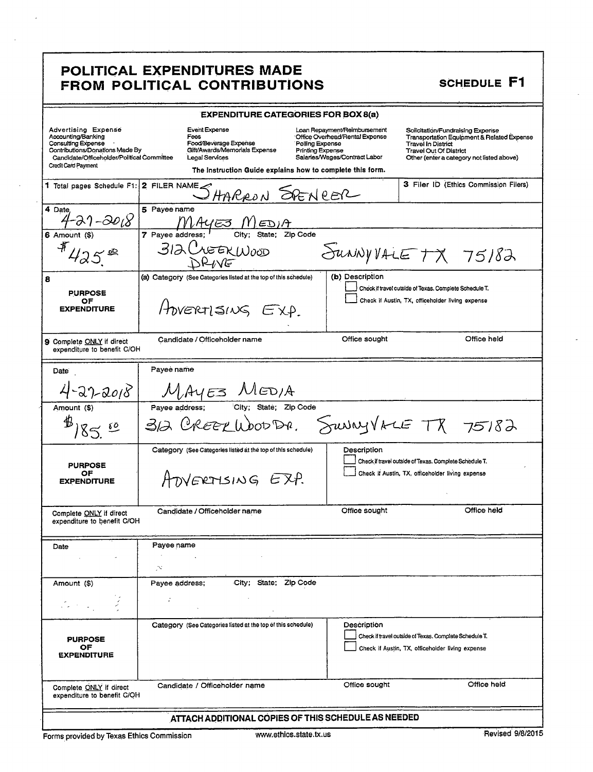# POLITICAL EXPENDITURES MADE<br>FROM POLITICAL CONTRIBUTIONS

### **SCHEDULE F1**

| <b>EXPENDITURE CATEGORIES FOR BOX 8(a)</b>                                                                                                                                     |                                                                                                   |                                                                                                                                                                                                            |                                                                                                                                                                                                       |  |
|--------------------------------------------------------------------------------------------------------------------------------------------------------------------------------|---------------------------------------------------------------------------------------------------|------------------------------------------------------------------------------------------------------------------------------------------------------------------------------------------------------------|-------------------------------------------------------------------------------------------------------------------------------------------------------------------------------------------------------|--|
| Advertising Expense<br>Accounting/Banking<br><b>Consulting Expense</b><br>Contributions/Donations Made By<br>Candidate/Officeholder/Political Committee<br>Credit Card Payment | Event Expense<br>Fees<br>Food/Beverage Expense<br>Gift/Awards/Memorials Expense<br>Legal Services | Loan Repayment/Reimbursement<br>Office Overhead/Rental Expense<br>Polling Expense<br><b>Printing Expense</b><br>Salaries/Wages/Contract Labor<br>The instruction Guide explains how to complete this form. | Solicitation/Fundraising Experise<br><b>Transportation Equipment &amp; Related Expense</b><br><b>Travel in District</b><br><b>Travel Out Of District</b><br>Other (enter a category not listed above) |  |
| 1 Total pages Schedule F1:                                                                                                                                                     | 2 FILER NAME                                                                                      | HARRON SPENCER                                                                                                                                                                                             | 3 Filer ID (Ethics Commission Filers)                                                                                                                                                                 |  |
| 4 Date                                                                                                                                                                         | 5 Payee name                                                                                      |                                                                                                                                                                                                            |                                                                                                                                                                                                       |  |
| 21-20 <sub>18</sub>                                                                                                                                                            | MAYE3 M<br>7 Pavee address:                                                                       | ED1A<br>Zip Code                                                                                                                                                                                           |                                                                                                                                                                                                       |  |
| 6 Amount (\$)<br>$425^{\circ}$                                                                                                                                                 | State:<br><b>312 CLEEK WOOD</b>                                                                   |                                                                                                                                                                                                            | $S$ UNNYVALETX 75182                                                                                                                                                                                  |  |
| 8<br><b>PURPOSE</b><br>ОF<br><b>EXPENDITURE</b>                                                                                                                                | (a) Category (See Categories listed at the top of this schedule)<br>HOVERTISING EXP.              | (b) Description                                                                                                                                                                                            | Check if travel outside of Texas. Complete Schedule T.<br>Check if Austin, TX, officeholder living expense                                                                                            |  |
| 9 Complete ONLY if direct<br>expenditure to benefit C/OH                                                                                                                       | Candidate / Officeholder name                                                                     | Office sought                                                                                                                                                                                              | Office held                                                                                                                                                                                           |  |
| Date                                                                                                                                                                           | Payee name                                                                                        |                                                                                                                                                                                                            |                                                                                                                                                                                                       |  |
| $4 - 27 - 2018$                                                                                                                                                                | MAYES MEDIA                                                                                       |                                                                                                                                                                                                            |                                                                                                                                                                                                       |  |
| Amount (\$)<br>$B_{185}$ $\frac{10}{10}$                                                                                                                                       | Payee address;                                                                                    | City; State; Zip Code<br>312 CREEKWOODE, SUNNYVALE TX 75182                                                                                                                                                |                                                                                                                                                                                                       |  |
| <b>PURPOSE</b><br>ОF<br><b>EXPENDITURE</b>                                                                                                                                     | Category (See Categories listed at the top of this schedule)<br>ATVERTISING EXP.                  | Description                                                                                                                                                                                                | Check if travel outside of Texas. Complete Schedule T.<br>Check if Austin, TX, officeholder living expense                                                                                            |  |
| Complete <b>ONLY</b> if direct<br>expenditure to benefit C/OH                                                                                                                  | Candidate / Officeholder name                                                                     | Office sought                                                                                                                                                                                              | Office held                                                                                                                                                                                           |  |
|                                                                                                                                                                                | Payee name                                                                                        |                                                                                                                                                                                                            |                                                                                                                                                                                                       |  |
| Date                                                                                                                                                                           | N.                                                                                                |                                                                                                                                                                                                            |                                                                                                                                                                                                       |  |
| Amount (\$)                                                                                                                                                                    | Payee address;                                                                                    | City: State: Zip Code                                                                                                                                                                                      |                                                                                                                                                                                                       |  |
|                                                                                                                                                                                | ÷                                                                                                 |                                                                                                                                                                                                            |                                                                                                                                                                                                       |  |
| <b>PURPOSE</b><br>OF<br><b>EXPENDITURE</b>                                                                                                                                     | Category (See Categories listed at the top of this schedule)                                      | Description                                                                                                                                                                                                | Check if travel outside of Texas. Complete Schedule T.<br>Check if Austin, TX, officeholder living expense                                                                                            |  |
| Complete ONLY if direct<br>expenditure to benefit C/OH                                                                                                                         | Candidate / Officeholder name                                                                     | Office sought                                                                                                                                                                                              | Office held                                                                                                                                                                                           |  |
| ATTACH ADDITIONAL COPIES OF THIS SCHEDULE AS NEEDED                                                                                                                            |                                                                                                   |                                                                                                                                                                                                            |                                                                                                                                                                                                       |  |